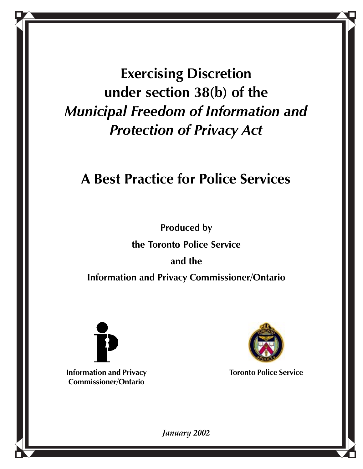**Exercising Discretion under section 38(b) of the** *Municipal Freedom of Information and Protection of Privacy Act*

### **A Best Practice for Police Services**

**Produced by**

**the Toronto Police Service**

**and the**

**Information and Privacy Commissioner/Ontario**



**Information and Privacy Commissioner/Ontario**



**Toronto Police Service**

*January 2002*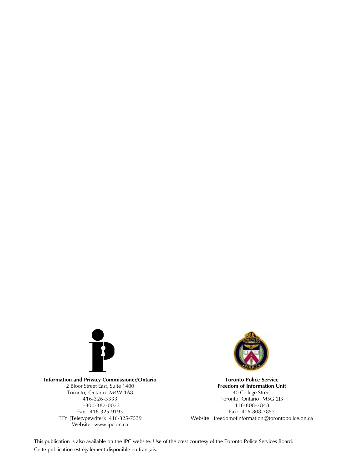

**Information and Privacy Commissioner/Ontario** 2 Bloor Street East, Suite 1400 Toronto, Ontario M4W 1A8 416-326-3333 1-800-387-0073 Fax: 416-325-9195 TTY (Teletypewriter): 416-325-7539 Website: www.ipc.on.ca



**Toronto Police Service Freedom of Information Unit** 40 College Street Toronto, Ontario M5G 2J3 416-808-7848 Fax: 416-808-7857 Website: freedomofinformation@torontopolice.on.ca

This publication is also available on the IPC website. Use of the crest courtesy of the Toronto Police Services Board. Cette publication est également disponible en français.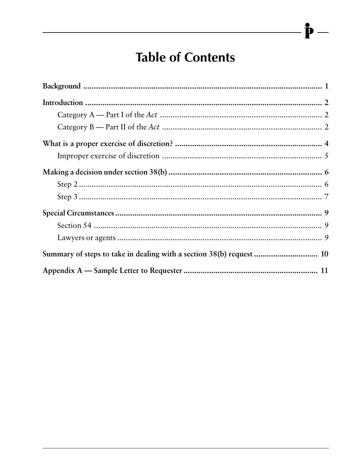### **Table of Contents**

P

 $\overline{\phantom{a}}$ 

| Summary of steps to take in dealing with a section 38(b) request  10 |
|----------------------------------------------------------------------|
|                                                                      |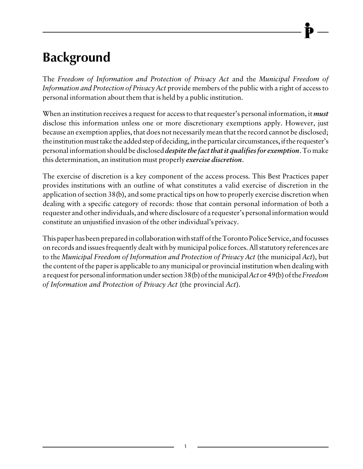# <span id="page-3-0"></span>**Background**

The *Freedom of Information and Protection of Privacy Act* and the *Municipal Freedom of Information and Protection of Privacy Act* provide members of the public with a right of access to personal information about them that is held by a public institution.

When an institution receives a request for access to that requester's personal information, it *must* disclose this information unless one or more discretionary exemptions apply. However, just because an exemption applies, that does not necessarily mean that the record cannot be disclosed; the institution must take the added step of deciding, in the particular circumstances, if the requester's personal information should be disclosed *despite the fact that it qualifies for exemption*. To make this determination, an institution must properly *exercise discretion*.

The exercise of discretion is a key component of the access process. This Best Practices paper provides institutions with an outline of what constitutes a valid exercise of discretion in the application of section 38(b), and some practical tips on how to properly exercise discretion when dealing with a specific category of records: those that contain personal information of both a requester and other individuals, and where disclosure of a requester's personal information would constitute an unjustified invasion of the other individual's privacy.

This paper has been prepared in collaboration with staff of the Toronto Police Service, and focusses on records and issues frequently dealt with by municipal police forces. All statutory references are to the *Municipal Freedom of Information and Protection of Privacy Act* (the municipal *Act*), but the content of the paper is applicable to any municipal or provincial institution when dealing with a request for personal information under section 38(b) of the municipal *Act* or 49(b) of the *Freedom of Information and Protection of Privacy Act* (the provincial *Act*).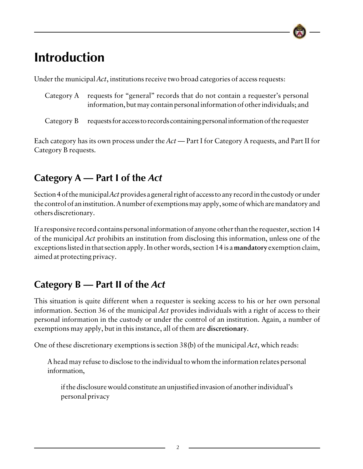### <span id="page-4-0"></span>**Introduction**

Under the municipal *Act*, institutions receive two broad categories of access requests:

- Category A requests for "general" records that do not contain a requester's personal information, but may contain personal information of other individuals; and
- Category B requests for access to records containing personal information of the requester

Each category has its own process under the *Act* — Part I for Category A requests, and Part II for Category B requests.

### **Category A — Part I of the** *Act*

Section 4 of the municipal *Act* provides a general right of access to any record in the custody or under the control of an institution. A number of exemptions may apply, some of which are mandatory and others discretionary.

If a responsive record contains personal information of anyone other than the requester, section 14 of the municipal *Act* prohibits an institution from disclosing this information, unless one of the exceptions listed in that section apply. In other words, section 14 is a **mandatory** exemption claim, aimed at protecting privacy.

### **Category B — Part II of the** *Act*

This situation is quite different when a requester is seeking access to his or her own personal information. Section 36 of the municipal *Act* provides individuals with a right of access to their personal information in the custody or under the control of an institution. Again, a number of exemptions may apply, but in this instance, all of them are **discretionary**.

One of these discretionary exemptions is section 38(b) of the municipal *Act*, which reads:

A head may refuse to disclose to the individual to whom the information relates personal information,

if the disclosure would constitute an unjustified invasion of another individual's personal privacy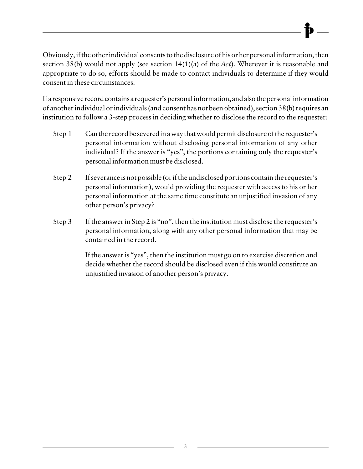Obviously, if the other individual consents to the disclosure of his or her personal information, then section 38(b) would not apply (see section 14(1)(a) of the *Act*). Wherever it is reasonable and appropriate to do so, efforts should be made to contact individuals to determine if they would consent in these circumstances.

If a responsive record contains a requester's personal information, and also the personal information of another individual or individuals (and consent has not been obtained), section 38(b) requires an institution to follow a 3-step process in deciding whether to disclose the record to the requester:

- Step 1 Can the record be severed in a way that would permit disclosure of the requester's personal information without disclosing personal information of any other individual? If the answer is "yes", the portions containing only the requester's personal information must be disclosed.
- Step 2 If severance is not possible (or if the undisclosed portions contain the requester's personal information), would providing the requester with access to his or her personal information at the same time constitute an unjustified invasion of any other person's privacy?
- Step 3 If the answer in Step 2 is "no", then the institution must disclose the requester's personal information, along with any other personal information that may be contained in the record.

If the answer is "yes", then the institution must go on to exercise discretion and decide whether the record should be disclosed even if this would constitute an unjustified invasion of another person's privacy.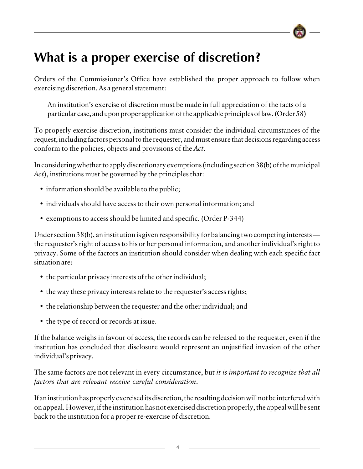### <span id="page-6-0"></span>**What is a proper exercise of discretion?**

Orders of the Commissioner's Office have established the proper approach to follow when exercising discretion. As a general statement:

An institution's exercise of discretion must be made in full appreciation of the facts of a particular case, and upon proper application of the applicable principles of law. (Order 58)

To properly exercise discretion, institutions must consider the individual circumstances of the request, including factors personal to the requester, and must ensure that decisions regarding access conform to the policies, objects and provisions of the *Act*.

In considering whether to apply discretionary exemptions (including section 38(b) of the municipal *Act*), institutions must be governed by the principles that:

- information should be available to the public;
- individuals should have access to their own personal information; and
- exemptions to access should be limited and specific. (Order P-344)

Under section 38(b), an institution is given responsibility for balancing two competing interests the requester's right of access to his or her personal information, and another individual's right to privacy. Some of the factors an institution should consider when dealing with each specific fact situation are:

- the particular privacy interests of the other individual;
- the way these privacy interests relate to the requester's access rights;
- the relationship between the requester and the other individual; and
- the type of record or records at issue.

If the balance weighs in favour of access, the records can be released to the requester, even if the institution has concluded that disclosure would represent an unjustified invasion of the other individual's privacy.

The same factors are not relevant in every circumstance, but *it is important to recognize that all factors that are relevant receive careful consideration*.

If an institution has properly exercised its discretion, the resulting decision will not be interfered with on appeal. However, if the institution has not exercised discretion properly, the appeal will be sent back to the institution for a proper re-exercise of discretion.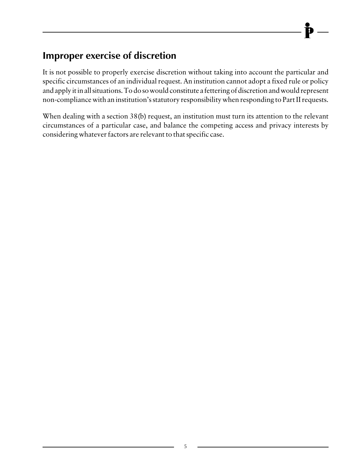#### <span id="page-7-0"></span>**Improper exercise of discretion**

It is not possible to properly exercise discretion without taking into account the particular and specific circumstances of an individual request. An institution cannot adopt a fixed rule or policy and apply it in all situations. To do so would constitute a fettering of discretion and would represent non-compliance with an institution's statutory responsibility when responding to Part II requests.

When dealing with a section 38(b) request, an institution must turn its attention to the relevant circumstances of a particular case, and balance the competing access and privacy interests by considering whatever factors are relevant to that specific case.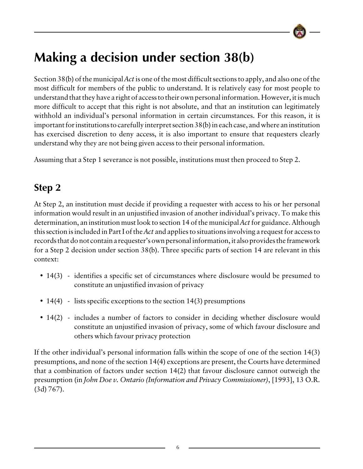### <span id="page-8-0"></span>**Making a decision under section 38(b)**

Section 38(b) of the municipal *Act* is one of the most difficult sections to apply, and also one of the most difficult for members of the public to understand. It is relatively easy for most people to understand that they have a right of access to their own personal information. However, it is much more difficult to accept that this right is not absolute, and that an institution can legitimately withhold an individual's personal information in certain circumstances. For this reason, it is important for institutions to carefully interpret section 38(b) in each case, and where an institution has exercised discretion to deny access, it is also important to ensure that requesters clearly understand why they are not being given access to their personal information.

Assuming that a Step 1 severance is not possible, institutions must then proceed to Step 2.

### **Step 2**

At Step 2, an institution must decide if providing a requester with access to his or her personal information would result in an unjustified invasion of another individual's privacy. To make this determination, an institution must look to section 14 of the municipal *Act* for guidance. Although this section is included in Part I of the *Act* and applies to situations involving a request for access to records that do not contain a requester's own personal information, it also provides the framework for a Step 2 decision under section 38(b). Three specific parts of section 14 are relevant in this context:

- 14(3) identifies a specific set of circumstances where disclosure would be presumed to constitute an unjustified invasion of privacy
- 14(4) lists specific exceptions to the section 14(3) presumptions
- 14(2) includes a number of factors to consider in deciding whether disclosure would constitute an unjustified invasion of privacy, some of which favour disclosure and others which favour privacy protection

If the other individual's personal information falls within the scope of one of the section 14(3) presumptions, and none of the section 14(4) exceptions are present, the Courts have determined that a combination of factors under section 14(2) that favour disclosure cannot outweigh the presumption (in *John Doe v. Ontario (Information and Privacy Commissioner)*, [1993], 13 O.R. (3d) 767).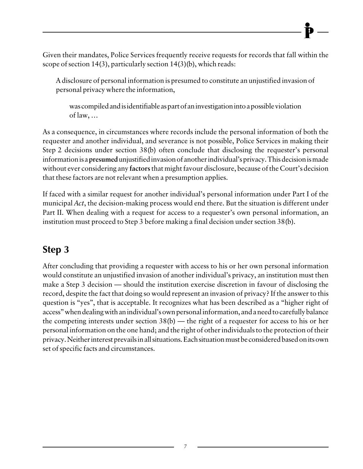<span id="page-9-0"></span>Given their mandates, Police Services frequently receive requests for records that fall within the scope of section 14(3), particularly section 14(3)(b), which reads:

A disclosure of personal information is presumed to constitute an unjustified invasion of personal privacy where the information,

was compiled and is identifiable as part of an investigation into a possible violation of law, …

As a consequence, in circumstances where records include the personal information of both the requester and another individual, and severance is not possible, Police Services in making their Step 2 decisions under section 38(b) often conclude that disclosing the requester's personal information is a **presumed** unjustified invasion of another individual's privacy. This decision is made without ever considering any **factors** that might favour disclosure, because of the Court's decision that these factors are not relevant when a presumption applies.

If faced with a similar request for another individual's personal information under Part I of the municipal *Act*, the decision-making process would end there. But the situation is different under Part II. When dealing with a request for access to a requester's own personal information, an institution must proceed to Step 3 before making a final decision under section 38(b).

#### **Step 3**

After concluding that providing a requester with access to his or her own personal information would constitute an unjustified invasion of another individual's privacy, an institution must then make a Step 3 decision — should the institution exercise discretion in favour of disclosing the record, despite the fact that doing so would represent an invasion of privacy? If the answer to this question is "yes", that is acceptable. It recognizes what has been described as a "higher right of access" when dealing with an individual's own personal information, and a need to carefully balance the competing interests under section  $38(b)$  — the right of a requester for access to his or her personal information on the one hand; and the right of other individuals to the protection of their privacy. Neither interest prevails in all situations. Each situation must be considered based on its own set of specific facts and circumstances.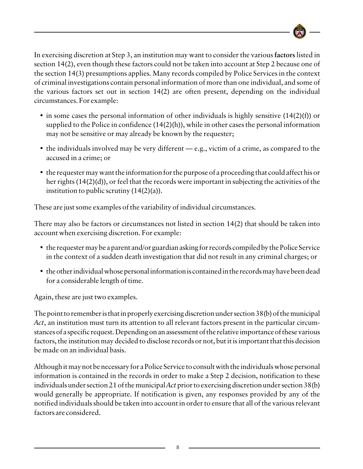

In exercising discretion at Step 3, an institution may want to consider the various **factors** listed in section 14(2), even though these factors could not be taken into account at Step 2 because one of the section 14(3) presumptions applies. Many records compiled by Police Services in the context of criminal investigations contain personal information of more than one individual, and some of the various factors set out in section 14(2) are often present, depending on the individual circumstances. For example:

- in some cases the personal information of other individuals is highly sensitive  $(14(2)(f))$  or supplied to the Police in confidence (14(2)(h)), while in other cases the personal information may not be sensitive or may already be known by the requester;
- the individuals involved may be very different e.g., victim of a crime, as compared to the accused in a crime; or
- the requester may want the information for the purpose of a proceeding that could affect his or her rights (14(2)(d)), or feel that the records were important in subjecting the activities of the institution to public scrutiny  $(14(2)(a))$ .

These are just some examples of the variability of individual circumstances.

There may also be factors or circumstances not listed in section 14(2) that should be taken into account when exercising discretion. For example:

- the requester may be a parent and/or guardian asking for records compiled by the Police Service in the context of a sudden death investigation that did not result in any criminal charges; or
- the other individual whose personal information is contained in the records may have been dead for a considerable length of time.

Again, these are just two examples.

The point to remember is that in properly exercising discretion under section 38(b) of the municipal *Act*, an institution must turn its attention to all relevant factors present in the particular circumstances of a specific request. Depending on an assessment of the relative importance of these various factors, the institution may decided to disclose records or not, but it is important that this decision be made on an individual basis.

Although it may not be necessary for a Police Service to consult with the individuals whose personal information is contained in the records in order to make a Step 2 decision, notification to these individuals under section 21 of the municipal *Act* prior to exercising discretion under section 38(b) would generally be appropriate. If notification is given, any responses provided by any of the notified individuals should be taken into account in order to ensure that all of the various relevant factors are considered.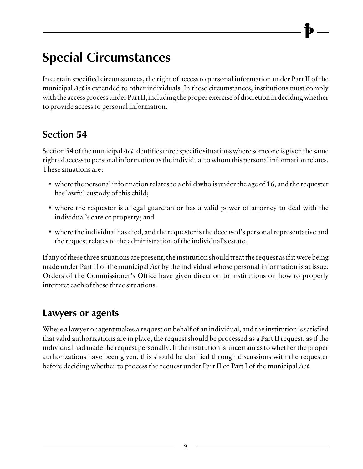## <span id="page-11-0"></span>**Special Circumstances**

In certain specified circumstances, the right of access to personal information under Part II of the municipal *Act* is extended to other individuals. In these circumstances, institutions must comply with the access process under Part II, including the proper exercise of discretion in deciding whether to provide access to personal information.

#### **Section 54**

Section 54 of the municipal *Act* identifies three specific situations where someone is given the same right of access to personal information as the individual to whom this personal information relates. These situations are:

- where the personal information relates to a child who is under the age of 16, and the requester has lawful custody of this child;
- where the requester is a legal guardian or has a valid power of attorney to deal with the individual's care or property; and
- where the individual has died, and the requester is the deceased's personal representative and the request relates to the administration of the individual's estate.

If any of these three situations are present, the institution should treat the request as if it were being made under Part II of the municipal *Act* by the individual whose personal information is at issue. Orders of the Commissioner's Office have given direction to institutions on how to properly interpret each of these three situations.

#### **Lawyers or agents**

Where a lawyer or agent makes a request on behalf of an individual, and the institution is satisfied that valid authorizations are in place, the request should be processed as a Part II request, as if the individual had made the request personally. If the institution is uncertain as to whether the proper authorizations have been given, this should be clarified through discussions with the requester before deciding whether to process the request under Part II or Part I of the municipal *Act*.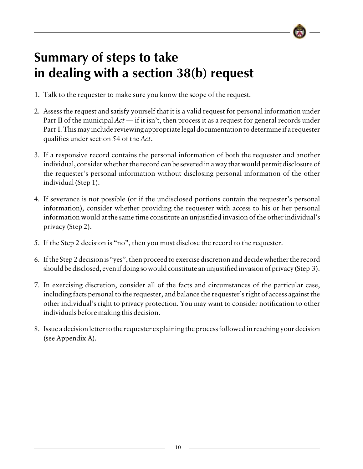### <span id="page-12-0"></span>**Summary of steps to take in dealing with a section 38(b) request**

- 1. Talk to the requester to make sure you know the scope of the request.
- 2. Assess the request and satisfy yourself that it is a valid request for personal information under Part II of the municipal *Act* — if it isn't, then process it as a request for general records under Part I. This may include reviewing appropriate legal documentation to determine if a requester qualifies under section 54 of the *Act*.
- 3. If a responsive record contains the personal information of both the requester and another individual, consider whether the record can be severed in a way that would permit disclosure of the requester's personal information without disclosing personal information of the other individual (Step 1).
- 4. If severance is not possible (or if the undisclosed portions contain the requester's personal information), consider whether providing the requester with access to his or her personal information would at the same time constitute an unjustified invasion of the other individual's privacy (Step 2).
- 5. If the Step 2 decision is "no", then you must disclose the record to the requester.
- 6. If the Step 2 decision is "yes", then proceed to exercise discretion and decide whether the record should be disclosed, even if doing so would constitute an unjustified invasion of privacy (Step 3).
- 7. In exercising discretion, consider all of the facts and circumstances of the particular case, including facts personal to the requester, and balance the requester's right of access against the other individual's right to privacy protection. You may want to consider notification to other individuals before making this decision.
- 8. Issue a decision letter to the requester explaining the process followed in reaching your decision (see Appendix A).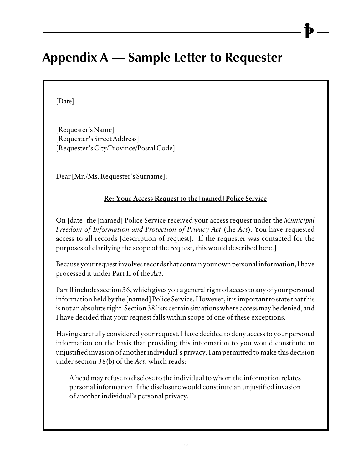### <span id="page-13-0"></span>**Appendix A — Sample Letter to Requester**

[Date]

[Requester's Name] [Requester's Street Address] [Requester's City/Province/Postal Code]

Dear [Mr./Ms. Requester's Surname]:

#### **Re: Your Access Request to the [named] Police Service**

On [date] the [named] Police Service received your access request under the *Municipal Freedom of Information and Protection of Privacy Act* (the *Act*). You have requested access to all records [description of request]. [If the requester was contacted for the purposes of clarifying the scope of the request, this would described here.]

Because your request involves records that contain your own personal information, I have processed it under Part II of the *Act*.

Part II includes section 36, which gives you a general right of access to any of your personal information held by the [named] Police Service. However, it is important to state that this is not an absolute right. Section 38 lists certain situations where access may be denied, and I have decided that your request falls within scope of one of these exceptions.

Having carefully considered your request, I have decided to deny access to your personal information on the basis that providing this information to you would constitute an unjustified invasion of another individual's privacy. I am permitted to make this decision under section 38(b) of the *Act*, which reads:

A head may refuse to disclose to the individual to whom the information relates personal information if the disclosure would constitute an unjustified invasion of another individual's personal privacy.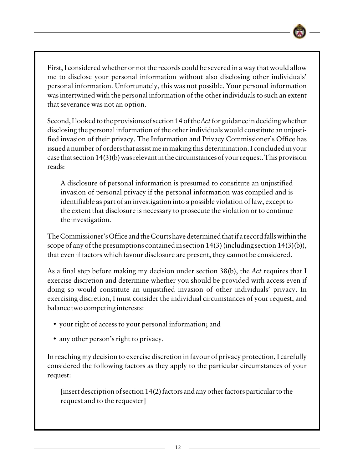

Second, I looked to the provisions of section 14 of the *Act* for guidance in deciding whether disclosing the personal information of the other individuals would constitute an unjustified invasion of their privacy. The Information and Privacy Commissioner's Office has issued a number of orders that assist me in making this determination. I concluded in your case that section 14(3)(b) was relevant in the circumstances of your request. This provision reads:

A disclosure of personal information is presumed to constitute an unjustified invasion of personal privacy if the personal information was compiled and is identifiable as part of an investigation into a possible violation of law, except to the extent that disclosure is necessary to prosecute the violation or to continue the investigation.

The Commissioner's Office and the Courts have determined that if a record falls within the scope of any of the presumptions contained in section 14(3) (including section 14(3)(b)), that even if factors which favour disclosure are present, they cannot be considered.

As a final step before making my decision under section 38(b), the *Act* requires that I exercise discretion and determine whether you should be provided with access even if doing so would constitute an unjustified invasion of other individuals' privacy. In exercising discretion, I must consider the individual circumstances of your request, and balance two competing interests:

- your right of access to your personal information; and
- any other person's right to privacy.

In reaching my decision to exercise discretion in favour of privacy protection, I carefully considered the following factors as they apply to the particular circumstances of your request:

[insert description of section 14(2) factors and any other factors particular to the request and to the requester]